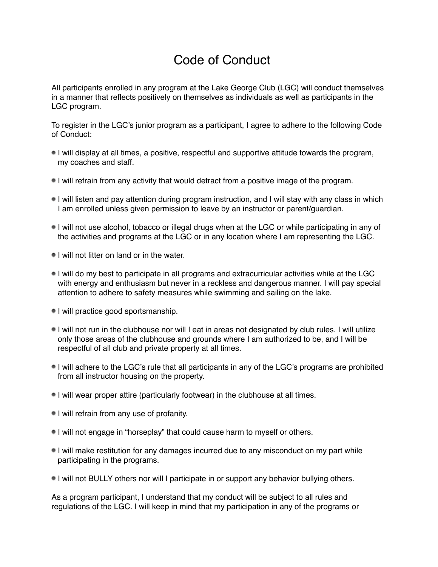## Code of Conduct

All participants enrolled in any program at the Lake George Club (LGC) will conduct themselves in a manner that reflects positively on themselves as individuals as well as participants in the LGC program.

To register in the LGC's junior program as a participant, I agree to adhere to the following Code of Conduct:

- I will display at all times, a positive, respectful and supportive attitude towards the program, my coaches and staff.
- I will refrain from any activity that would detract from a positive image of the program.
- I will listen and pay attention during program instruction, and I will stay with any class in which I am enrolled unless given permission to leave by an instructor or parent/guardian.
- I will not use alcohol, tobacco or illegal drugs when at the LGC or while participating in any of the activities and programs at the LGC or in any location where I am representing the LGC.
- I will not litter on land or in the water.
- I will do my best to participate in all programs and extracurricular activities while at the LGC with energy and enthusiasm but never in a reckless and dangerous manner. I will pay special attention to adhere to safety measures while swimming and sailing on the lake.
- I will practice good sportsmanship.
- I will not run in the clubhouse nor will I eat in areas not designated by club rules. I will utilize only those areas of the clubhouse and grounds where I am authorized to be, and I will be respectful of all club and private property at all times.
- I will adhere to the LGC's rule that all participants in any of the LGC's programs are prohibited from all instructor housing on the property.
- I will wear proper attire (particularly footwear) in the clubhouse at all times.
- I will refrain from any use of profanity.
- I will not engage in "horseplay" that could cause harm to myself or others.
- I will make restitution for any damages incurred due to any misconduct on my part while participating in the programs.
- I will not BULLY others nor will I participate in or support any behavior bullying others.

As a program participant, I understand that my conduct will be subject to all rules and regulations of the LGC. I will keep in mind that my participation in any of the programs or